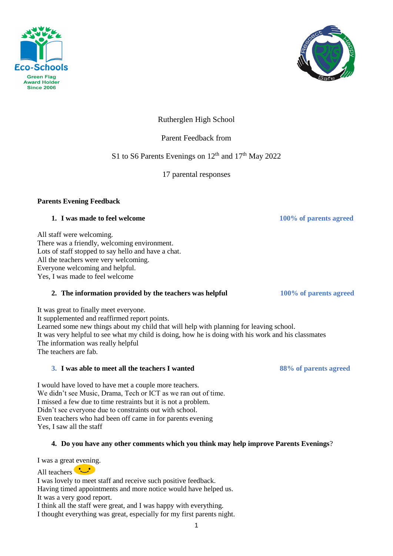



Rutherglen High School

Parent Feedback from

S1 to S6 Parents Evenings on  $12<sup>th</sup>$  and  $17<sup>th</sup>$  May 2022

17 parental responses

## **Parents Evening Feedback**

## **1. I** was made to feel welcome 100% of parents agreed

All staff were welcoming. There was a friendly, welcoming environment. Lots of staff stopped to say hello and have a chat. All the teachers were very welcoming. Everyone welcoming and helpful. Yes, I was made to feel welcome

# **2. The information provided by the teachers was helpful 100% of parents agreed**

It was great to finally meet everyone. It supplemented and reaffirmed report points. Learned some new things about my child that will help with planning for leaving school. It was very helpful to see what my child is doing, how he is doing with his work and his classmates The information was really helpful The teachers are fab.

## **3. I was able to meet all the teachers I wanted 88% of parents agreed**

I would have loved to have met a couple more teachers. We didn't see Music, Drama, Tech or ICT as we ran out of time. I missed a few due to time restraints but it is not a problem. Didn't see everyone due to constraints out with school. Even teachers who had been off came in for parents evening Yes, I saw all the staff

# **4. Do you have any other comments which you think may help improve Parents Evenings**?

I was a great evening.

All teachers I was lovely to meet staff and receive such positive feedback. Having timed appointments and more notice would have helped us. It was a very good report. I think all the staff were great, and I was happy with everything. I thought everything was great, especially for my first parents night.